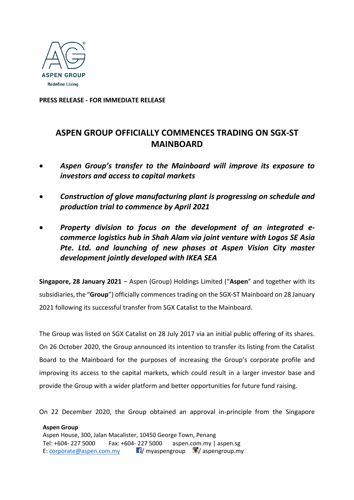

**PRESS RELEASE - FOR IMMEDIATE RELEASE**

# **ASPEN GROUP OFFICIALLY COMMENCES TRADING ON SGX-ST MAINBOARD**

- *Aspen Group's transfer to the Mainboard will improve its exposure to investors and access to capital markets*
- *Construction of glove manufacturing plant is progressing on schedule and production trial to commence by April 2021*
- *Property division to focus on the development of an integrated ecommerce logistics hub in Shah Alam via joint venture with Logos SE Asia Pte. Ltd. and launching of new phases at Aspen Vision City master development jointly developed with IKEA SEA*

**Singapore, 28 January 2021** – Aspen (Group) Holdings Limited ("**Aspen**" and together with its subsidiaries, the "**Group**") officially commences trading on the SGX-ST Mainboard on 28 January 2021 following its successful transfer from SGX Catalist to the Mainboard.

The Group was listed on SGX Catalist on 28 July 2017 via an initial public offering of its shares. On 26 October 2020, the Group announced its intention to transfer its listing from the Catalist Board to the Mainboard for the purposes of increasing the Group's corporate profile and improving its access to the capital markets, which could result in a larger investor base and provide the Group with a wider platform and better opportunities for future fund raising.

On 22 December 2020, the Group obtained an approval in-principle from the Singapore

**Aspen Group** Aspen House, 300, Jalan Macalister, 10450 George Town, Penang Tel: +604- 227 5000 Fax: +604- 227 5000 aspen.com.my | aspen.sg E: [corporate@aspen.com.my](mailto:corporate@aspen.com.my)  $\blacksquare$  myaspengroup  $\blacksquare$  aspengroup.my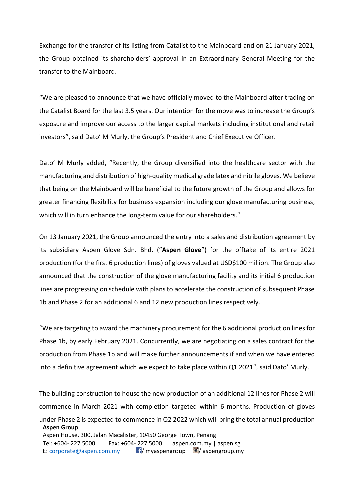Exchange for the transfer of its listing from Catalist to the Mainboard and on 21 January 2021, the Group obtained its shareholders' approval in an Extraordinary General Meeting for the transfer to the Mainboard.

"We are pleased to announce that we have officially moved to the Mainboard after trading on the Catalist Board for the last 3.5 years. Our intention for the move was to increase the Group's exposure and improve our access to the larger capital markets including institutional and retail investors", said Dato' M Murly, the Group's President and Chief Executive Officer.

Dato' M Murly added, "Recently, the Group diversified into the healthcare sector with the manufacturing and distribution of high-quality medical grade latex and nitrile gloves. We believe that being on the Mainboard will be beneficial to the future growth of the Group and allows for greater financing flexibility for business expansion including our glove manufacturing business, which will in turn enhance the long-term value for our shareholders."

On 13 January 2021, the Group announced the entry into a sales and distribution agreement by its subsidiary Aspen Glove Sdn. Bhd. ("**Aspen Glove**") for the offtake of its entire 2021 production (for the first 6 production lines) of gloves valued at USD\$100 million. The Group also announced that the construction of the glove manufacturing facility and its initial 6 production lines are progressing on schedule with plans to accelerate the construction of subsequent Phase 1b and Phase 2 for an additional 6 and 12 new production lines respectively.

"We are targeting to award the machinery procurement for the 6 additional production lines for Phase 1b, by early February 2021. Concurrently, we are negotiating on a sales contract for the production from Phase 1b and will make further announcements if and when we have entered into a definitive agreement which we expect to take place within Q1 2021", said Dato' Murly.

**Aspen Group** Aspen House, 300, Jalan Macalister, 10450 George Town, Penang Tel: +604- 227 5000 Fax: +604- 227 5000 aspen.com.my | aspen.sg E: [corporate@aspen.com.my](mailto:corporate@aspen.com.my)  $\blacksquare$  myaspengroup  $\blacksquare$  aspengroup.my The building construction to house the new production of an additional 12 lines for Phase 2 will commence in March 2021 with completion targeted within 6 months. Production of gloves under Phase 2 is expected to commence in Q2 2022 which will bring the total annual production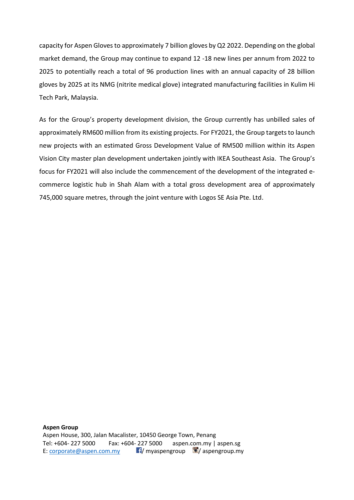capacity for Aspen Gloves to approximately 7 billion gloves by Q2 2022. Depending on the global market demand, the Group may continue to expand 12 -18 new lines per annum from 2022 to 2025 to potentially reach a total of 96 production lines with an annual capacity of 28 billion gloves by 2025 at its NMG (nitrite medical glove) integrated manufacturing facilities in Kulim Hi Tech Park, Malaysia.

As for the Group's property development division, the Group currently has unbilled sales of approximately RM600 million from its existing projects. For FY2021, the Group targets to launch new projects with an estimated Gross Development Value of RM500 million within its Aspen Vision City master plan development undertaken jointly with IKEA Southeast Asia. The Group's focus for FY2021 will also include the commencement of the development of the integrated ecommerce logistic hub in Shah Alam with a total gross development area of approximately 745,000 square metres, through the joint venture with Logos SE Asia Pte. Ltd.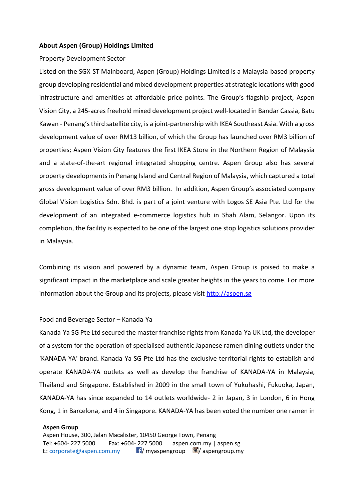### **About Aspen (Group) Holdings Limited**

### Property Development Sector

Listed on the SGX-ST Mainboard, Aspen (Group) Holdings Limited is a Malaysia-based property group developing residential and mixed development properties at strategic locations with good infrastructure and amenities at affordable price points. The Group's flagship project, Aspen Vision City, a 245-acres freehold mixed development project well-located in Bandar Cassia, Batu Kawan - Penang's third satellite city, is a joint-partnership with IKEA Southeast Asia. With a gross development value of over RM13 billion, of which the Group has launched over RM3 billion of properties; Aspen Vision City features the first IKEA Store in the Northern Region of Malaysia and a state-of-the-art regional integrated shopping centre. Aspen Group also has several property developments in Penang Island and Central Region of Malaysia, which captured a total gross development value of over RM3 billion. In addition, Aspen Group's associated company Global Vision Logistics Sdn. Bhd. is part of a joint venture with Logos SE Asia Pte. Ltd for the development of an integrated e-commerce logistics hub in Shah Alam, Selangor. Upon its completion, the facility is expected to be one of the largest one stop logistics solutions provider in Malaysia.

Combining its vision and powered by a dynamic team, Aspen Group is poised to make a significant impact in the marketplace and scale greater heights in the years to come. For more information about the Group and its projects, please visit [http://aspen.sg](http://aspen.sg/)

### Food and Beverage Sector – Kanada-Ya

Kanada-Ya SG Pte Ltd secured the master franchise rights from Kanada-Ya UK Ltd, the developer of a system for the operation of specialised authentic Japanese ramen dining outlets under the 'KANADA-YA' brand. Kanada-Ya SG Pte Ltd has the exclusive territorial rights to establish and operate KANADA-YA outlets as well as develop the franchise of KANADA-YA in Malaysia, Thailand and Singapore. Established in 2009 in the small town of Yukuhashi, Fukuoka, Japan, KANADA-YA has since expanded to 14 outlets worldwide- 2 in Japan, 3 in London, 6 in Hong Kong, 1 in Barcelona, and 4 in Singapore. KANADA-YA has been voted the number one ramen in

#### **Aspen Group**

Aspen House, 300, Jalan Macalister, 10450 George Town, Penang Tel: +604- 227 5000 Fax: +604- 227 5000 aspen.com.my | aspen.sg E: [corporate@aspen.com.my](mailto:corporate@aspen.com.my)  $\blacksquare$  myaspengroup  $\blacksquare$  aspengroup.my